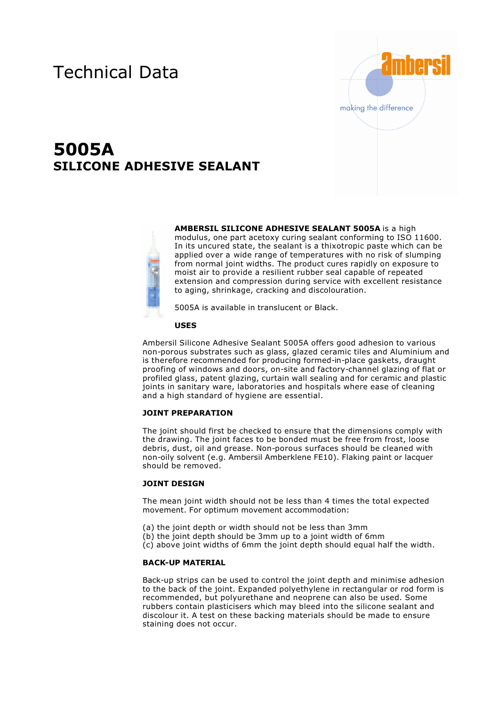# Technical Data



# **5005A SILICONE ADHESIVE SEALANT**



**AMBERSIL SILICONE ADHESIVE SEALANT 5005A** is a high modulus, one part acetoxy curing sealant conforming to ISO 11600. In its uncured state, the sealant is a thixotropic paste which can be applied over a wide range of temperatures with no risk of slumping from normal joint widths. The product cures rapidly on exposure to moist air to provide a resilient rubber seal capable of repeated extension and compression during service with excellent resistance to aging, shrinkage, cracking and discolouration.

5005A is available in translucent or Black.

## **USES**

Ambersil Silicone Adhesive Sealant 5005A offers good adhesion to various non-porous substrates such as glass, glazed ceramic tiles and Aluminium and is therefore recommended for producing formed-in-place gaskets, draught proofing of windows and doors, on-site and factory-channel glazing of flat or profiled glass, patent glazing, curtain wall sealing and for ceramic and plastic joints in sanitary ware, laboratories and hospitals where ease of cleaning and a high standard of hygiene are essential.

# **JOINT PREPARATION**

The joint should first be checked to ensure that the dimensions comply with the drawing. The joint faces to be bonded must be free from frost, loose debris, dust, oil and grease. Non-porous surfaces should be cleaned with non-oily solvent (e.g. Ambersil Amberklene FE10). Flaking paint or lacquer should be removed.

## **JOINT DESIGN**

The mean joint width should not be less than 4 times the total expected movement. For optimum movement accommodation:

- (a) the joint depth or width should not be less than 3mm
- (b) the joint depth should be 3mm up to a joint width of 6mm
- (c) above joint widths of 6mm the joint depth should equal half the width.

#### **BACK-UP MATERIAL**

Back-up strips can be used to control the joint depth and minimise adhesion to the back of the joint. Expanded polyethylene in rectangular or rod form is recommended, but polyurethane and neoprene can also be used. Some rubbers contain plasticisers which may bleed into the silicone sealant and discolour it. A test on these backing materials should be made to ensure staining does not occur.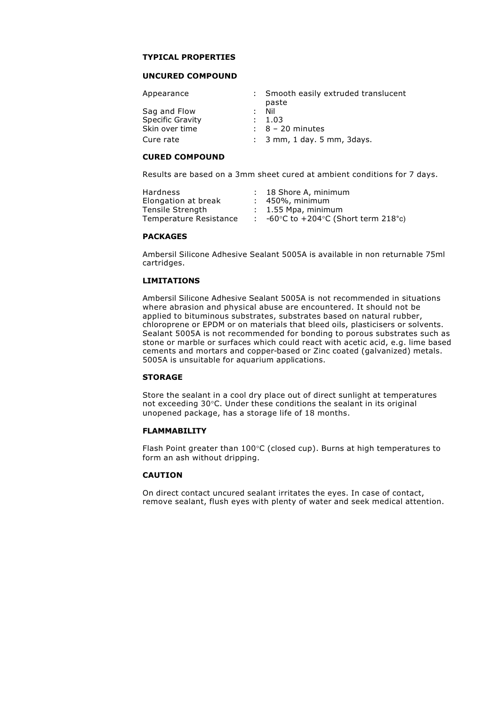#### **TYPICAL PROPERTIES**

## **UNCURED COMPOUND**

| Appearance              | : Smooth easily extruded translucent<br>paste |
|-------------------------|-----------------------------------------------|
| Sag and Flow            | : Nil                                         |
| <b>Specific Gravity</b> | : 1.03                                        |
| Skin over time          | $\therefore$ 8 – 20 minutes                   |
| Cure rate               | $: 3$ mm, 1 day. 5 mm, 3 days.                |

#### **CURED COMPOUND**

Results are based on a 3mm sheet cured at ambient conditions for 7 days.

| Hardness               | : 18 Shore A, minimum                                            |
|------------------------|------------------------------------------------------------------|
| Elongation at break    | $: 450\%$ , minimum                                              |
| Tensile Strenath       | $: 1.55$ Mpa, minimum                                            |
| Temperature Resistance | -60 $\degree$ C to +204 $\degree$ C (Short term 218 $\degree$ c) |

# **PACKAGES**

Ambersil Silicone Adhesive Sealant 5005A is available in non returnable 75ml cartridges.

# **LIMITATIONS**

Ambersil Silicone Adhesive Sealant 5005A is not recommended in situations where abrasion and physical abuse are encountered. It should not be applied to bituminous substrates, substrates based on natural rubber, chloroprene or EPDM or on materials that bleed oils, plasticisers or solvents. Sealant 5005A is not recommended for bonding to porous substrates such as stone or marble or surfaces which could react with acetic acid, e.g. lime based cements and mortars and copper-based or Zinc coated (galvanized) metals. 5005A is unsuitable for aquarium applications.

## **STORAGE**

Store the sealant in a cool dry place out of direct sunlight at temperatures not exceeding 30°C. Under these conditions the sealant in its original unopened package, has a storage life of 18 months.

## **FLAMMABILITY**

Flash Point greater than 100°C (closed cup). Burns at high temperatures to form an ash without dripping.

## **CAUTION**

On direct contact uncured sealant irritates the eyes. In case of contact, remove sealant, flush eyes with plenty of water and seek medical attention.